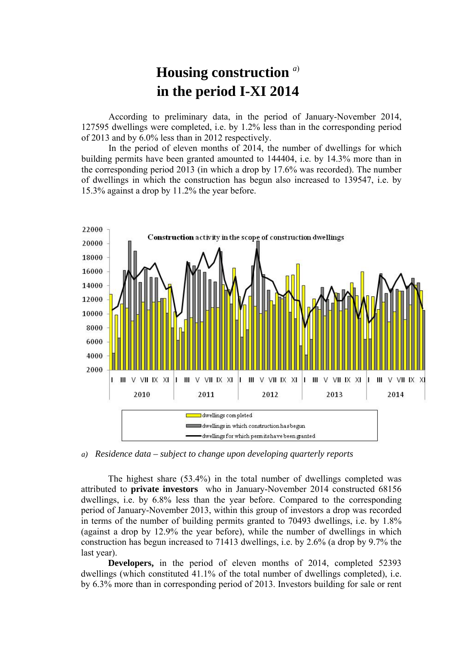## **Housing construction** *<sup>a</sup>*) **in the period I-XI 2014**

According to preliminary data, in the period of January-November 2014, 127595 dwellings were completed, i.e. by 1.2% less than in the corresponding period of 2013 and by 6.0% less than in 2012 respectively.

In the period of eleven months of 2014, the number of dwellings for which building permits have been granted amounted to 144404, i.e. by 14.3% more than in the corresponding period 2013 (in which a drop by 17.6% was recorded). The number of dwellings in which the construction has begun also increased to 139547, i.e. by 15.3% against a drop by 11.2% the year before.



*a) Residence data – subject to change upon developing quarterly reports*

The highest share (53.4%) in the total number of dwellings completed was attributed to **private investors** who in January-November 2014 constructed 68156 dwellings, i.e. by 6.8% less than the year before. Compared to the corresponding period of January-November 2013, within this group of investors a drop was recorded in terms of the number of building permits granted to 70493 dwellings, i.e. by 1.8% (against a drop by 12.9% the year before), while the number of dwellings in which construction has begun increased to 71413 dwellings, i.e. by 2.6% (a drop by 9.7% the last year).

**Developers,** in the period of eleven months of 2014, completed 52393 dwellings (which constituted 41.1% of the total number of dwellings completed), i.e. by 6.3% more than in corresponding period of 2013. Investors building for sale or rent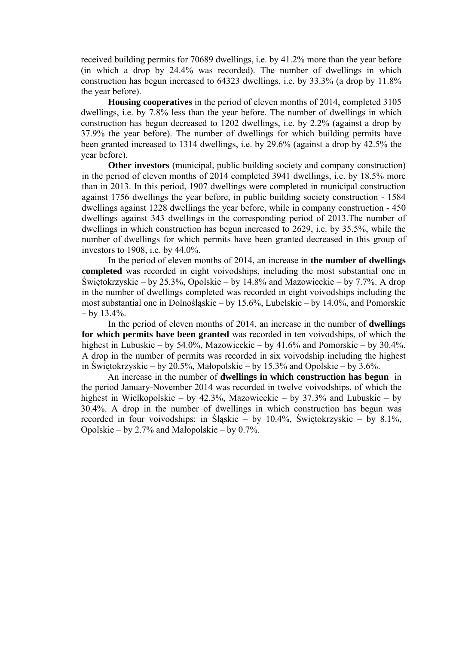received building permits for 70689 dwellings, i.e. by 41.2% more than the year before (in which a drop by 24.4% was recorded). The number of dwellings in which construction has begun increased to 64323 dwellings, i.e. by 33.3% (a drop by 11.8% the year before).

**Housing cooperatives** in the period of eleven months of 2014, completed 3105 dwellings, i.e. by 7.8% less than the year before. The number of dwellings in which construction has begun decreased to 1202 dwellings, i.e. by 2.2% (against a drop by 37.9% the year before). The number of dwellings for which building permits have been granted increased to 1314 dwellings, i.e. by 29.6% (against a drop by 42.5% the year before).

**Other investors** (municipal, public building society and company construction) in the period of eleven months of 2014 completed 3941 dwellings, i.e. by 18.5% more than in 2013. In this period, 1907 dwellings were completed in municipal construction against 1756 dwellings the year before, in public building society construction - 1584 dwellings against 1228 dwellings the year before, while in company construction - 450 dwellings against 343 dwellings in the corresponding period of 2013.The number of dwellings in which construction has begun increased to 2629, i.e. by 35.5%, while the number of dwellings for which permits have been granted decreased in this group of investors to 1908, i.e. by 44.0%.

In the period of eleven months of 2014, an increase in **the number of dwellings completed** was recorded in eight voivodships, including the most substantial one in Świętokrzyskie – by 25.3%, Opolskie – by 14.8% and Mazowieckie – by 7.7%. A drop in the number of dwellings completed was recorded in eight voivodships including the most substantial one in Dolnośląskie – by 15.6%, Lubelskie – by 14.0%, and Pomorskie  $-$  by 13.4%.

In the period of eleven months of 2014, an increase in the number of **dwellings for which permits have been granted** was recorded in ten voivodships, of which the highest in Lubuskie – by 54.0%, Mazowieckie – by 41.6% and Pomorskie – by 30.4%. A drop in the number of permits was recorded in six voivodship including the highest in Świętokrzyskie – by 20.5%, Małopolskie – by 15.3% and Opolskie – by 3.6%.

An increase in the number of **dwellings in which construction has begun** in the period January-November 2014 was recorded in twelve voivodships, of which the highest in Wielkopolskie – by 42.3%, Mazowieckie – by 37.3% and Lubuskie – by 30.4%. A drop in the number of dwellings in which construction has begun was recorded in four voivodships: in Śląskie – by  $10.4\%$ , Świętokrzyskie – by 8.1%, Opolskie – by 2.7% and Małopolskie – by 0.7%.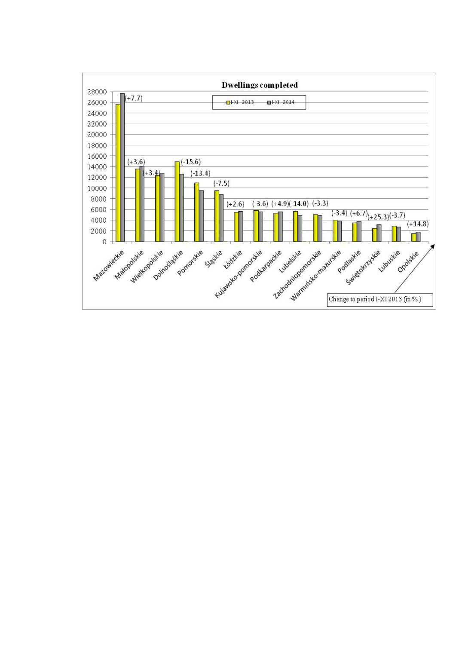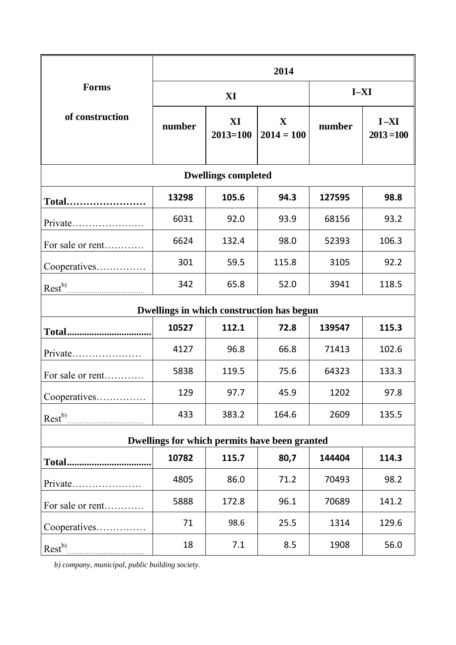|                                               | 2014   |                    |                             |        |                          |
|-----------------------------------------------|--------|--------------------|-----------------------------|--------|--------------------------|
| <b>Forms</b><br>of construction               | XI     |                    |                             | $I-XI$ |                          |
|                                               | number | XI<br>$2013 = 100$ | $\mathbf X$<br>$2014 = 100$ | number | $I - XI$<br>$2013 = 100$ |
| <b>Dwellings completed</b>                    |        |                    |                             |        |                          |
| Total                                         | 13298  | 105.6              | 94.3                        | 127595 | 98.8                     |
| Private                                       | 6031   | 92.0               | 93.9                        | 68156  | 93.2                     |
| For sale or rent                              | 6624   | 132.4              | 98.0                        | 52393  | 106.3                    |
| Cooperatives                                  | 301    | 59.5               | 115.8                       | 3105   | 92.2                     |
| $\text{Rest}^{b)}$                            | 342    | 65.8               | 52.0                        | 3941   | 118.5                    |
| Dwellings in which construction has begun     |        |                    |                             |        |                          |
|                                               | 10527  | 112.1              | 72.8                        | 139547 | 115.3                    |
| Private                                       | 4127   | 96.8               | 66.8                        | 71413  | 102.6                    |
| For sale or rent                              | 5838   | 119.5              | 75.6                        | 64323  | 133.3                    |
| Cooperatives                                  | 129    | 97.7               | 45.9                        | 1202   | 97.8                     |
| Rest <sup>b)</sup>                            | 433    | 383.2              | 164.6                       | 2609   | 135.5                    |
| Dwellings for which permits have been granted |        |                    |                             |        |                          |
|                                               | 10782  | 115.7              | 80,7                        | 144404 | 114.3                    |
| Private                                       | 4805   | 86.0               | 71.2                        | 70493  | 98.2                     |
| For sale or rent                              | 5888   | 172.8              | 96.1                        | 70689  | 141.2                    |
| Cooperatives                                  | 71     | 98.6               | 25.5                        | 1314   | 129.6                    |
| $\text{Rest}^{b)}$                            | 18     | 7.1                | 8.5                         | 1908   | 56.0                     |

*b) company, municipal, public building society.*